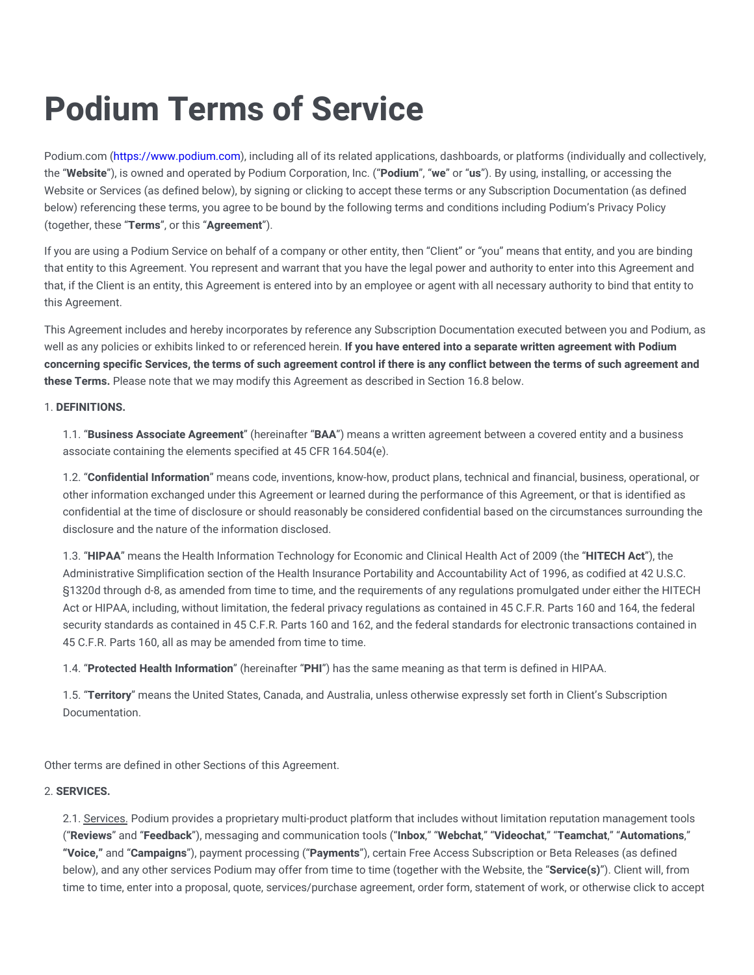Podium.com [\(https://www.podium.com\)](https://www.podium.com/), including all of its related applications, dashboards, or platforms (individually and collectively, the "**Website**"), is owned and operated by Podium Corporation, Inc. ("**Podium**", "**we**" or "**us**"). By using, installing, or accessing the Website or Services (as defined below), by signing or clicking to accept these terms or any Subscription Documentation (as defined below) referencing these terms, you agree to be bound by the following terms and conditions including Podium's Privacy Policy (together, these "**Terms**", or this "**Agreement**").

If you are using a Podium Service on behalf of a company or other entity, then "Client" or "you" means that entity, and you are binding that entity to this Agreement. You represent and warrant that you have the legal power and authority to enter into this Agreement and that, if the Client is an entity, this Agreement is entered into by an employee or agent with all necessary authority to bind that entity to this Agreement.

This Agreement includes and hereby incorporates by reference any Subscription Documentation executed between you and Podium, as well as any policies or exhibits linked to or referenced herein. **If you have entered into a separate written agreement with Podium** concerning specific Services, the terms of such agreement control if there is any conflict between the terms of such agreement and **these Terms.** Please note that we may modify this Agreement as described in Section 16.8 below.

# 1. **DEFINITIONS.**

1.1. "**Business Associate Agreement**" (hereinafter "**BAA**") means a written agreement between a covered entity and a business associate containing the elements specified at 45 CFR 164.504(e).

1.2. "**Confidential Information**" means code, inventions, know-how, product plans, technical and financial, business, operational, or other information exchanged under this Agreement or learned during the performance of this Agreement, or that is identified as confidential at the time of disclosure or should reasonably be considered confidential based on the circumstances surrounding the disclosure and the nature of the information disclosed.

1.3. "**HIPAA**" means the Health Information Technology for Economic and Clinical Health Act of 2009 (the "**HITECH Act**"), the Administrative Simplification section of the Health Insurance Portability and Accountability Act of 1996, as codified at 42 U.S.C. §1320d through d-8, as amended from time to time, and the requirements of any regulations promulgated under either the HITECH Act or HIPAA, including, without limitation, the federal privacy regulations as contained in 45 C.F.R. Parts 160 and 164, the federal security standards as contained in 45 C.F.R. Parts 160 and 162, and the federal standards for electronic transactions contained in 45 C.F.R. Parts 160, all as may be amended from time to time.

1.4. "**Protected Health Information**" (hereinafter "**PHI**") has the same meaning as that term is defined in HIPAA.

1.5. "**Territory**" means the United States, Canada, and Australia, unless otherwise expressly set forth in Client's Subscription Documentation.

Other terms are defined in other Sections of this Agreement.

# 2. **SERVICES.**

2.1. Services. Podium provides a proprietary multi-product platform that includes without limitation reputation management tools ("**Reviews**" and "**Feedback**"), messaging and communication tools ("**Inbox**," "**Webchat**," "**Videochat**," "**Teamchat**," "**Automations**," **"Voice,"** and "**Campaigns**"), payment processing ("**Payments**"), certain Free Access Subscription or Beta Releases (as defined below), and any other services Podium may offer from time to time (together with the Website, the "**Service(s)**"). Client will, from time to time, enter into a proposal, quote, services/purchase agreement, order form, statement of work, or otherwise click to accept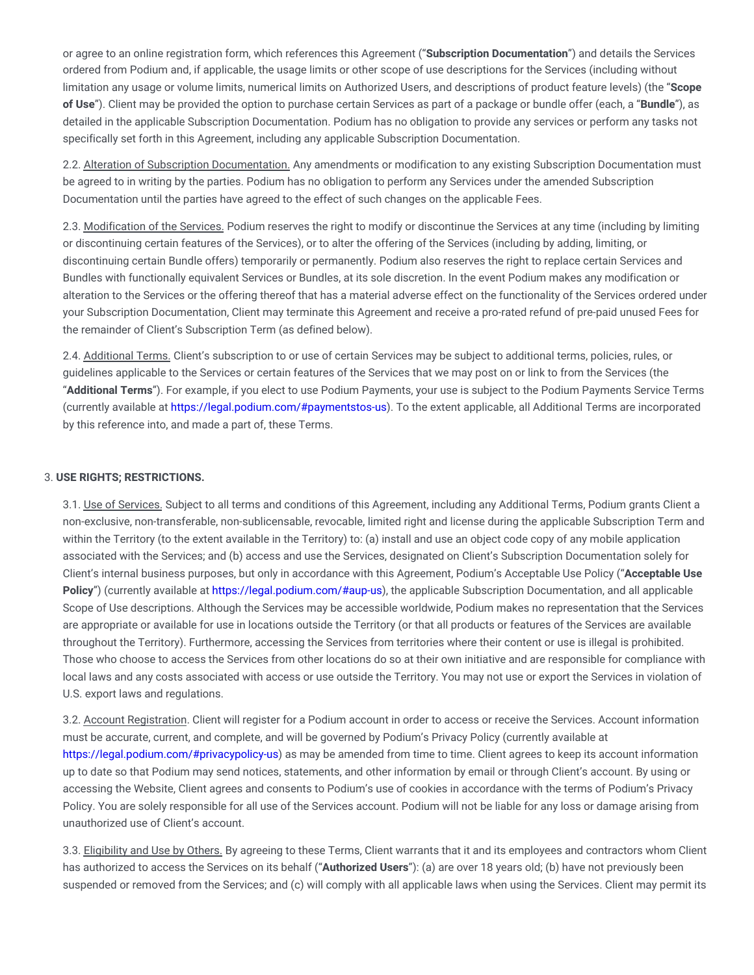or agree to an online registration form, which references this Agreement ("**Subscription Documentation**") and details the Services ordered from Podium and, if applicable, the usage limits or other scope of use descriptions for the Services (including without limitation any usage or volume limits, numerical limits on Authorized Users, and descriptions of product feature levels) (the "**Scope of Use**"). Client may be provided the option to purchase certain Services as part of a package or bundle offer (each, a "**Bundle**"), as detailed in the applicable Subscription Documentation. Podium has no obligation to provide any services or perform any tasks not specifically set forth in this Agreement, including any applicable Subscription Documentation.

2.2. Alteration of Subscription Documentation. Any amendments or modification to any existing Subscription Documentation must be agreed to in writing by the parties. Podium has no obligation to perform any Services under the amended Subscription Documentation until the parties have agreed to the effect of such changes on the applicable Fees.

2.3. Modification of the Services. Podium reserves the right to modify or discontinue the Services at any time (including by limiting or discontinuing certain features of the Services), or to alter the offering of the Services (including by adding, limiting, or discontinuing certain Bundle offers) temporarily or permanently. Podium also reserves the right to replace certain Services and Bundles with functionally equivalent Services or Bundles, at its sole discretion. In the event Podium makes any modification or alteration to the Services or the offering thereof that has a material adverse effect on the functionality of the Services ordered under your Subscription Documentation, Client may terminate this Agreement and receive a pro-rated refund of pre-paid unused Fees for the remainder of Client's Subscription Term (as defined below).

2.4. Additional Terms. Client's subscription to or use of certain Services may be subject to additional terms, policies, rules, or guidelines applicable to the Services or certain features of the Services that we may post on or link to from the Services (the "**Additional Terms**"). For example, if you elect to use Podium Payments, your use is subject to the Podium Payments Service Terms (currently available at [https://legal.podium.com/#paymentstos-us\)](https://legal.podium.com/#paymentstos-us). To the extent applicable, all Additional Terms are incorporated by this reference into, and made a part of, these Terms.

## 3. **USE RIGHTS; RESTRICTIONS.**

3.1. Use of Services. Subject to all terms and conditions of this Agreement, including any Additional Terms, Podium grants Client a non-exclusive, non-transferable, non-sublicensable, revocable, limited right and license during the applicable Subscription Term and within the Territory (to the extent available in the Territory) to: (a) install and use an object code copy of any mobile application associated with the Services; and (b) access and use the Services, designated on Client's Subscription Documentation solely for Client's internal business purposes, but only in accordance with this Agreement, Podium's Acceptable Use Policy ("**Acceptable Use Policy**") (currently available at [https://legal.podium.com/#aup-us\)](https://legal.podium.com/#aup-us), the applicable Subscription Documentation, and all applicable Scope of Use descriptions. Although the Services may be accessible worldwide, Podium makes no representation that the Services are appropriate or available for use in locations outside the Territory (or that all products or features of the Services are available throughout the Territory). Furthermore, accessing the Services from territories where their content or use is illegal is prohibited. Those who choose to access the Services from other locations do so at their own initiative and are responsible for compliance with local laws and any costs associated with access or use outside the Territory. You may not use or export the Services in violation of U.S. export laws and regulations.

3.2. Account Registration. Client will register for a Podium account in order to access or receive the Services. Account information must be accurate, current, and complete, and will be governed by Podium's Privacy Policy (currently available at [https://legal.podium.com/#privacypolicy-us\)](https://legal.podium.com/#privacypolicy-us) as may be amended from time to time. Client agrees to keep its account information up to date so that Podium may send notices, statements, and other information by email or through Client's account. By using or accessing the Website, Client agrees and consents to Podium's use of cookies in accordance with the terms of Podium's Privacy Policy. You are solely responsible for all use of the Services account. Podium will not be liable for any loss or damage arising from unauthorized use of Client's account.

3.3. Eligibility and Use by Others. By agreeing to these Terms, Client warrants that it and its employees and contractors whom Client has authorized to access the Services on its behalf ("**Authorized Users**"): (a) are over 18 years old; (b) have not previously been suspended or removed from the Services; and (c) will comply with all applicable laws when using the Services. Client may permit its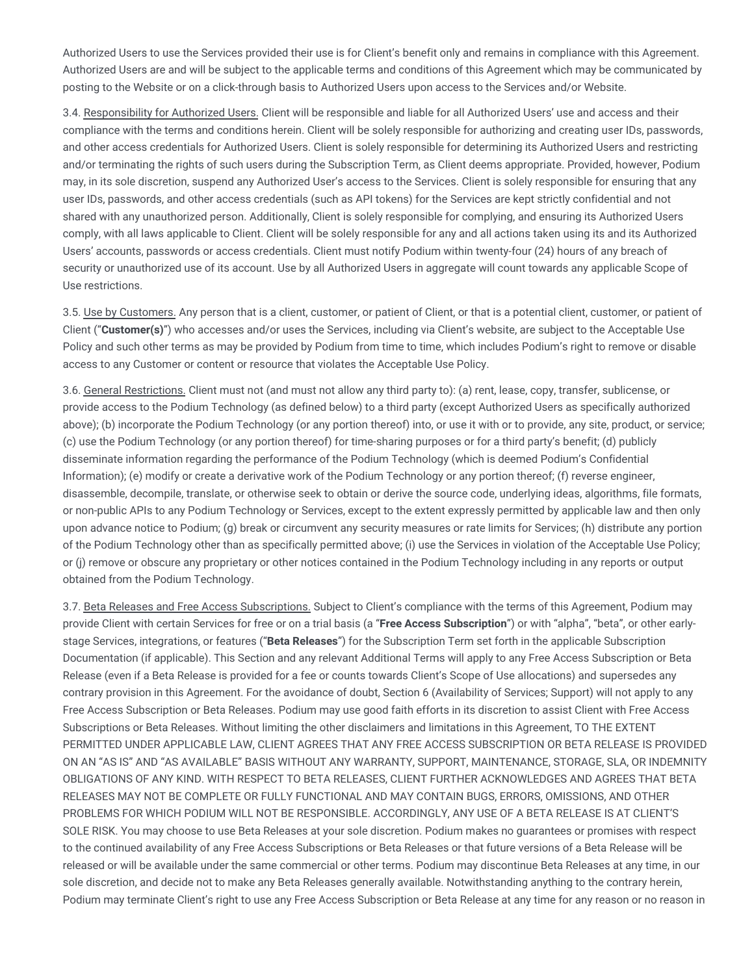Authorized Users to use the Services provided their use is for Client's benefit only and remains in compliance with this Agreement. Authorized Users are and will be subject to the applicable terms and conditions of this Agreement which may be communicated by posting to the Website or on a click-through basis to Authorized Users upon access to the Services and/or Website.

3.4. Responsibility for Authorized Users. Client will be responsible and liable for all Authorized Users' use and access and their compliance with the terms and conditions herein. Client will be solely responsible for authorizing and creating user IDs, passwords, and other access credentials for Authorized Users. Client is solely responsible for determining its Authorized Users and restricting and/or terminating the rights of such users during the Subscription Term, as Client deems appropriate. Provided, however, Podium may, in its sole discretion, suspend any Authorized User's access to the Services. Client is solely responsible for ensuring that any user IDs, passwords, and other access credentials (such as API tokens) for the Services are kept strictly confidential and not shared with any unauthorized person. Additionally, Client is solely responsible for complying, and ensuring its Authorized Users comply, with all laws applicable to Client. Client will be solely responsible for any and all actions taken using its and its Authorized Users' accounts, passwords or access credentials. Client must notify Podium within twenty-four (24) hours of any breach of security or unauthorized use of its account. Use by all Authorized Users in aggregate will count towards any applicable Scope of Use restrictions.

3.5. Use by Customers. Any person that is a client, customer, or patient of Client, or that is a potential client, customer, or patient of Client ("**Customer(s)**") who accesses and/or uses the Services, including via Client's website, are subject to the Acceptable Use Policy and such other terms as may be provided by Podium from time to time, which includes Podium's right to remove or disable access to any Customer or content or resource that violates the Acceptable Use Policy.

3.6. General Restrictions. Client must not (and must not allow any third party to): (a) rent, lease, copy, transfer, sublicense, or provide access to the Podium Technology (as defined below) to a third party (except Authorized Users as specifically authorized above); (b) incorporate the Podium Technology (or any portion thereof) into, or use it with or to provide, any site, product, or service; (c) use the Podium Technology (or any portion thereof) for time-sharing purposes or for a third party's benefit; (d) publicly disseminate information regarding the performance of the Podium Technology (which is deemed Podium's Confidential Information); (e) modify or create a derivative work of the Podium Technology or any portion thereof; (f) reverse engineer, disassemble, decompile, translate, or otherwise seek to obtain or derive the source code, underlying ideas, algorithms, file formats, or non-public APIs to any Podium Technology or Services, except to the extent expressly permitted by applicable law and then only upon advance notice to Podium; (g) break or circumvent any security measures or rate limits for Services; (h) distribute any portion of the Podium Technology other than as specifically permitted above; (i) use the Services in violation of the Acceptable Use Policy; or (j) remove or obscure any proprietary or other notices contained in the Podium Technology including in any reports or output obtained from the Podium Technology.

3.7. Beta Releases and Free Access Subscriptions. Subject to Client's compliance with the terms of this Agreement, Podium may provide Client with certain Services for free or on a trial basis (a "**Free Access Subscription**") or with "alpha", "beta", or other earlystage Services, integrations, or features ("**Beta Releases**") for the Subscription Term set forth in the applicable Subscription Documentation (if applicable). This Section and any relevant Additional Terms will apply to any Free Access Subscription or Beta Release (even if a Beta Release is provided for a fee or counts towards Client's Scope of Use allocations) and supersedes any contrary provision in this Agreement. For the avoidance of doubt, Section 6 (Availability of Services; Support) will not apply to any Free Access Subscription or Beta Releases. Podium may use good faith efforts in its discretion to assist Client with Free Access Subscriptions or Beta Releases. Without limiting the other disclaimers and limitations in this Agreement, TO THE EXTENT PERMITTED UNDER APPLICABLE LAW, CLIENT AGREES THAT ANY FREE ACCESS SUBSCRIPTION OR BETA RELEASE IS PROVIDED ON AN "AS IS" AND "AS AVAILABLE" BASIS WITHOUT ANY WARRANTY, SUPPORT, MAINTENANCE, STORAGE, SLA, OR INDEMNITY OBLIGATIONS OF ANY KIND. WITH RESPECT TO BETA RELEASES, CLIENT FURTHER ACKNOWLEDGES AND AGREES THAT BETA RELEASES MAY NOT BE COMPLETE OR FULLY FUNCTIONAL AND MAY CONTAIN BUGS, ERRORS, OMISSIONS, AND OTHER PROBLEMS FOR WHICH PODIUM WILL NOT BE RESPONSIBLE. ACCORDINGLY, ANY USE OF A BETA RELEASE IS AT CLIENT'S SOLE RISK. You may choose to use Beta Releases at your sole discretion. Podium makes no guarantees or promises with respect to the continued availability of any Free Access Subscriptions or Beta Releases or that future versions of a Beta Release will be released or will be available under the same commercial or other terms. Podium may discontinue Beta Releases at any time, in our sole discretion, and decide not to make any Beta Releases generally available. Notwithstanding anything to the contrary herein, Podium may terminate Client's right to use any Free Access Subscription or Beta Release at any time for any reason or no reason in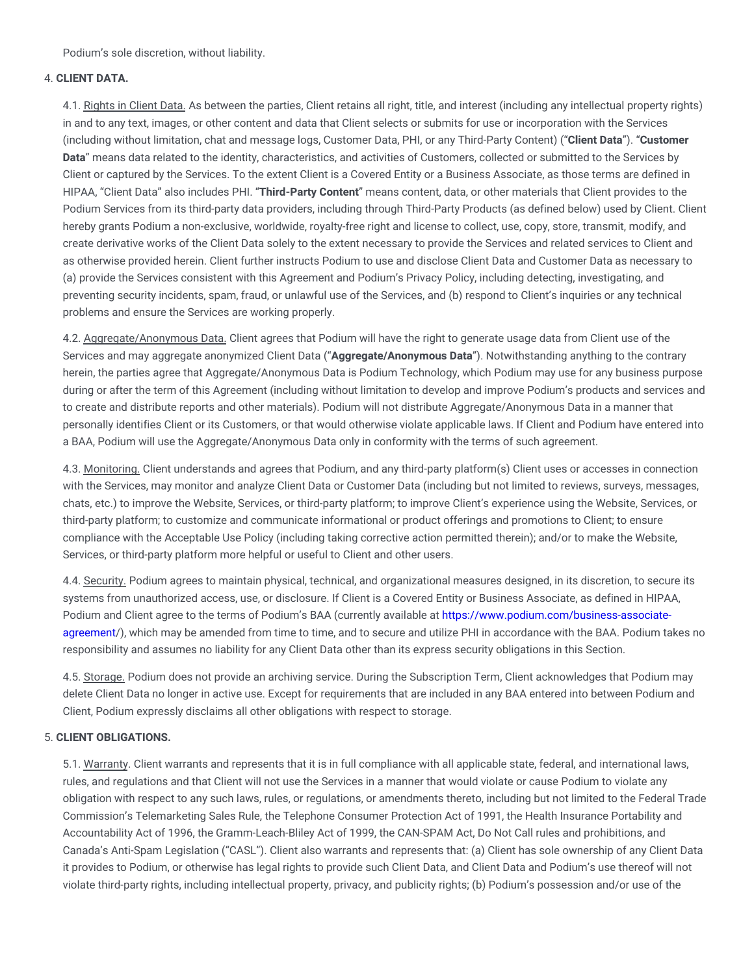Podium's sole discretion, without liability.

#### 4. **CLIENT DATA.**

4.1. Rights in Client Data. As between the parties, Client retains all right, title, and interest (including any intellectual property rights) in and to any text, images, or other content and data that Client selects or submits for use or incorporation with the Services (including without limitation, chat and message logs, Customer Data, PHI, or any Third-Party Content) ("**Client Data**"). "**Customer Data**" means data related to the identity, characteristics, and activities of Customers, collected or submitted to the Services by Client or captured by the Services. To the extent Client is a Covered Entity or a Business Associate, as those terms are defined in HIPAA, "Client Data" also includes PHI. "**Third-Party Content**" means content, data, or other materials that Client provides to the Podium Services from its third-party data providers, including through Third-Party Products (as defined below) used by Client. Client hereby grants Podium a non-exclusive, worldwide, royalty-free right and license to collect, use, copy, store, transmit, modify, and create derivative works of the Client Data solely to the extent necessary to provide the Services and related services to Client and as otherwise provided herein. Client further instructs Podium to use and disclose Client Data and Customer Data as necessary to (a) provide the Services consistent with this Agreement and Podium's Privacy Policy, including detecting, investigating, and preventing security incidents, spam, fraud, or unlawful use of the Services, and (b) respond to Client's inquiries or any technical problems and ensure the Services are working properly.

4.2. Aggregate/Anonymous Data. Client agrees that Podium will have the right to generate usage data from Client use of the Services and may aggregate anonymized Client Data ("**Aggregate/Anonymous Data**"). Notwithstanding anything to the contrary herein, the parties agree that Aggregate/Anonymous Data is Podium Technology, which Podium may use for any business purpose during or after the term of this Agreement (including without limitation to develop and improve Podium's products and services and to create and distribute reports and other materials). Podium will not distribute Aggregate/Anonymous Data in a manner that personally identifies Client or its Customers, or that would otherwise violate applicable laws. If Client and Podium have entered into a BAA, Podium will use the Aggregate/Anonymous Data only in conformity with the terms of such agreement.

4.3. Monitoring. Client understands and agrees that Podium, and any third-party platform(s) Client uses or accesses in connection with the Services, may monitor and analyze Client Data or Customer Data (including but not limited to reviews, surveys, messages, chats, etc.) to improve the Website, Services, or third-party platform; to improve Client's experience using the Website, Services, or third-party platform; to customize and communicate informational or product offerings and promotions to Client; to ensure compliance with the Acceptable Use Policy (including taking corrective action permitted therein); and/or to make the Website, Services, or third-party platform more helpful or useful to Client and other users.

4.4. Security. Podium agrees to maintain physical, technical, and organizational measures designed, in its discretion, to secure its systems from unauthorized access, use, or disclosure. If Client is a Covered Entity or Business Associate, as defined in HIPAA, Podium and Client agree to the terms of Podium's BAA (currently available at [https://www.podium.com/business-associate](https://www.podium.com/business-associate-agreement)agreement/), which may be amended from time to time, and to secure and utilize PHI in accordance with the BAA. Podium takes no responsibility and assumes no liability for any Client Data other than its express security obligations in this Section.

4.5. Storage. Podium does not provide an archiving service. During the Subscription Term, Client acknowledges that Podium may delete Client Data no longer in active use. Except for requirements that are included in any BAA entered into between Podium and Client, Podium expressly disclaims all other obligations with respect to storage.

## 5. **CLIENT OBLIGATIONS.**

5.1. Warranty. Client warrants and represents that it is in full compliance with all applicable state, federal, and international laws, rules, and regulations and that Client will not use the Services in a manner that would violate or cause Podium to violate any obligation with respect to any such laws, rules, or regulations, or amendments thereto, including but not limited to the Federal Trade Commission's Telemarketing Sales Rule, the Telephone Consumer Protection Act of 1991, the Health Insurance Portability and Accountability Act of 1996, the Gramm-Leach-Bliley Act of 1999, the CAN-SPAM Act, Do Not Call rules and prohibitions, and Canada's Anti-Spam Legislation ("CASL"). Client also warrants and represents that: (a) Client has sole ownership of any Client Data it provides to Podium, or otherwise has legal rights to provide such Client Data, and Client Data and Podium's use thereof will not violate third-party rights, including intellectual property, privacy, and publicity rights; (b) Podium's possession and/or use of the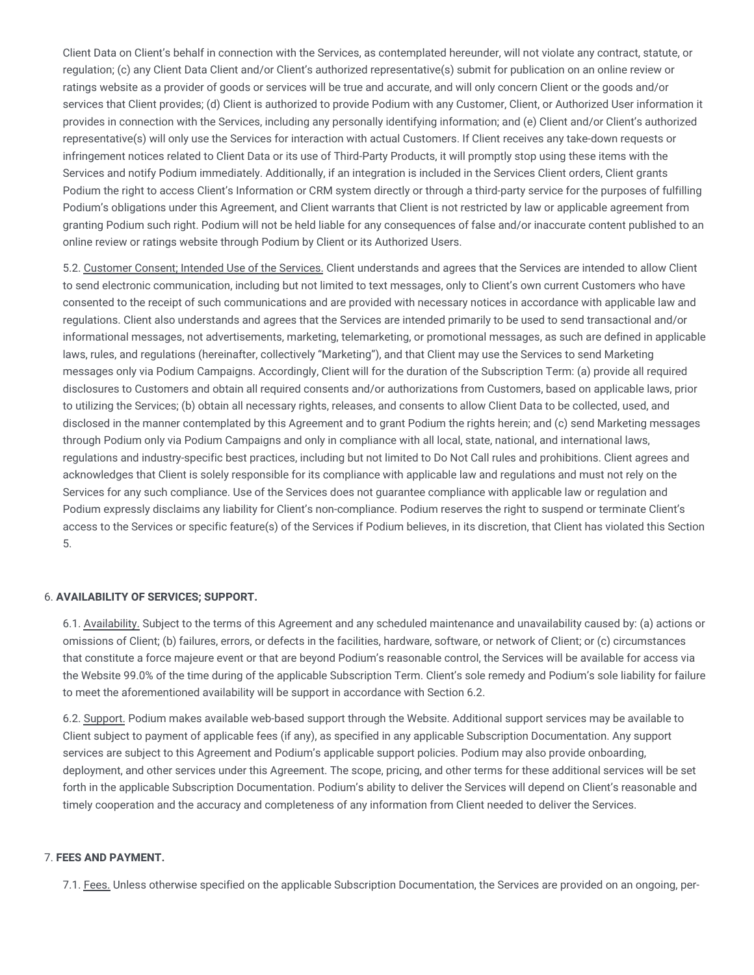Client Data on Client's behalf in connection with the Services, as contemplated hereunder, will not violate any contract, statute, or regulation; (c) any Client Data Client and/or Client's authorized representative(s) submit for publication on an online review or ratings website as a provider of goods or services will be true and accurate, and will only concern Client or the goods and/or services that Client provides; (d) Client is authorized to provide Podium with any Customer, Client, or Authorized User information it provides in connection with the Services, including any personally identifying information; and (e) Client and/or Client's authorized representative(s) will only use the Services for interaction with actual Customers. If Client receives any take-down requests or infringement notices related to Client Data or its use of Third-Party Products, it will promptly stop using these items with the Services and notify Podium immediately. Additionally, if an integration is included in the Services Client orders, Client grants Podium the right to access Client's Information or CRM system directly or through a third-party service for the purposes of fulfilling Podium's obligations under this Agreement, and Client warrants that Client is not restricted by law or applicable agreement from granting Podium such right. Podium will not be held liable for any consequences of false and/or inaccurate content published to an online review or ratings website through Podium by Client or its Authorized Users.

5.2. Customer Consent; Intended Use of the Services. Client understands and agrees that the Services are intended to allow Client to send electronic communication, including but not limited to text messages, only to Client's own current Customers who have consented to the receipt of such communications and are provided with necessary notices in accordance with applicable law and regulations. Client also understands and agrees that the Services are intended primarily to be used to send transactional and/or informational messages, not advertisements, marketing, telemarketing, or promotional messages, as such are defined in applicable laws, rules, and regulations (hereinafter, collectively "Marketing"), and that Client may use the Services to send Marketing messages only via Podium Campaigns. Accordingly, Client will for the duration of the Subscription Term: (a) provide all required disclosures to Customers and obtain all required consents and/or authorizations from Customers, based on applicable laws, prior to utilizing the Services; (b) obtain all necessary rights, releases, and consents to allow Client Data to be collected, used, and disclosed in the manner contemplated by this Agreement and to grant Podium the rights herein; and (c) send Marketing messages through Podium only via Podium Campaigns and only in compliance with all local, state, national, and international laws, regulations and industry-specific best practices, including but not limited to Do Not Call rules and prohibitions. Client agrees and acknowledges that Client is solely responsible for its compliance with applicable law and regulations and must not rely on the Services for any such compliance. Use of the Services does not guarantee compliance with applicable law or regulation and Podium expressly disclaims any liability for Client's non-compliance. Podium reserves the right to suspend or terminate Client's access to the Services or specific feature(s) of the Services if Podium believes, in its discretion, that Client has violated this Section 5.

## 6. **AVAILABILITY OF SERVICES; SUPPORT.**

6.1. Availability. Subject to the terms of this Agreement and any scheduled maintenance and unavailability caused by: (a) actions or omissions of Client; (b) failures, errors, or defects in the facilities, hardware, software, or network of Client; or (c) circumstances that constitute a force majeure event or that are beyond Podium's reasonable control, the Services will be available for access via the Website 99.0% of the time during of the applicable Subscription Term. Client's sole remedy and Podium's sole liability for failure to meet the aforementioned availability will be support in accordance with Section 6.2.

6.2. Support. Podium makes available web-based support through the Website. Additional support services may be available to Client subject to payment of applicable fees (if any), as specified in any applicable Subscription Documentation. Any support services are subject to this Agreement and Podium's applicable support policies. Podium may also provide onboarding, deployment, and other services under this Agreement. The scope, pricing, and other terms for these additional services will be set forth in the applicable Subscription Documentation. Podium's ability to deliver the Services will depend on Client's reasonable and timely cooperation and the accuracy and completeness of any information from Client needed to deliver the Services.

#### 7. **FEES AND PAYMENT.**

7.1. Fees. Unless otherwise specified on the applicable Subscription Documentation, the Services are provided on an ongoing, per-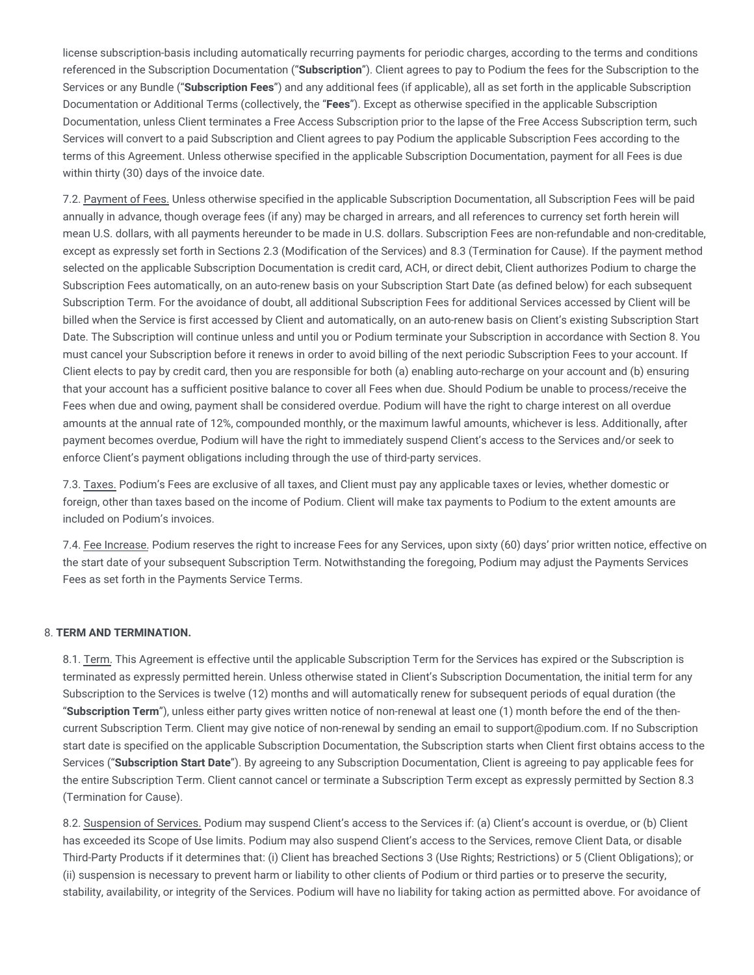license subscription-basis including automatically recurring payments for periodic charges, according to the terms and conditions referenced in the Subscription Documentation ("**Subscription**"). Client agrees to pay to Podium the fees for the Subscription to the Services or any Bundle ("**Subscription Fees**") and any additional fees (if applicable), all as set forth in the applicable Subscription Documentation or Additional Terms (collectively, the "**Fees**"). Except as otherwise specified in the applicable Subscription Documentation, unless Client terminates a Free Access Subscription prior to the lapse of the Free Access Subscription term, such Services will convert to a paid Subscription and Client agrees to pay Podium the applicable Subscription Fees according to the terms of this Agreement. Unless otherwise specified in the applicable Subscription Documentation, payment for all Fees is due within thirty (30) days of the invoice date.

7.2. Payment of Fees. Unless otherwise specified in the applicable Subscription Documentation, all Subscription Fees will be paid annually in advance, though overage fees (if any) may be charged in arrears, and all references to currency set forth herein will mean U.S. dollars, with all payments hereunder to be made in U.S. dollars. Subscription Fees are non-refundable and non-creditable, except as expressly set forth in Sections 2.3 (Modification of the Services) and 8.3 (Termination for Cause). If the payment method selected on the applicable Subscription Documentation is credit card, ACH, or direct debit, Client authorizes Podium to charge the Subscription Fees automatically, on an auto-renew basis on your Subscription Start Date (as defined below) for each subsequent Subscription Term. For the avoidance of doubt, all additional Subscription Fees for additional Services accessed by Client will be billed when the Service is first accessed by Client and automatically, on an auto-renew basis on Client's existing Subscription Start Date. The Subscription will continue unless and until you or Podium terminate your Subscription in accordance with Section 8. You must cancel your Subscription before it renews in order to avoid billing of the next periodic Subscription Fees to your account. If Client elects to pay by credit card, then you are responsible for both (a) enabling auto-recharge on your account and (b) ensuring that your account has a sufficient positive balance to cover all Fees when due. Should Podium be unable to process/receive the Fees when due and owing, payment shall be considered overdue. Podium will have the right to charge interest on all overdue amounts at the annual rate of 12%, compounded monthly, or the maximum lawful amounts, whichever is less. Additionally, after payment becomes overdue, Podium will have the right to immediately suspend Client's access to the Services and/or seek to enforce Client's payment obligations including through the use of third-party services.

7.3. Taxes. Podium's Fees are exclusive of all taxes, and Client must pay any applicable taxes or levies, whether domestic or foreign, other than taxes based on the income of Podium. Client will make tax payments to Podium to the extent amounts are included on Podium's invoices.

7.4. Fee Increase. Podium reserves the right to increase Fees for any Services, upon sixty (60) days' prior written notice, effective on the start date of your subsequent Subscription Term. Notwithstanding the foregoing, Podium may adjust the Payments Services Fees as set forth in the Payments Service Terms.

## 8. **TERM AND TERMINATION.**

8.1. Term. This Agreement is effective until the applicable Subscription Term for the Services has expired or the Subscription is terminated as expressly permitted herein. Unless otherwise stated in Client's Subscription Documentation, the initial term for any Subscription to the Services is twelve (12) months and will automatically renew for subsequent periods of equal duration (the "**Subscription Term**"), unless either party gives written notice of non-renewal at least one (1) month before the end of the thencurrent Subscription Term. Client may give notice of non-renewal by sending an email to support@podium.com. If no Subscription start date is specified on the applicable Subscription Documentation, the Subscription starts when Client first obtains access to the Services ("**Subscription Start Date**"). By agreeing to any Subscription Documentation, Client is agreeing to pay applicable fees for the entire Subscription Term. Client cannot cancel or terminate a Subscription Term except as expressly permitted by Section 8.3 (Termination for Cause).

8.2. Suspension of Services. Podium may suspend Client's access to the Services if: (a) Client's account is overdue, or (b) Client has exceeded its Scope of Use limits. Podium may also suspend Client's access to the Services, remove Client Data, or disable Third-Party Products if it determines that: (i) Client has breached Sections 3 (Use Rights; Restrictions) or 5 (Client Obligations); or (ii) suspension is necessary to prevent harm or liability to other clients of Podium or third parties or to preserve the security, stability, availability, or integrity of the Services. Podium will have no liability for taking action as permitted above. For avoidance of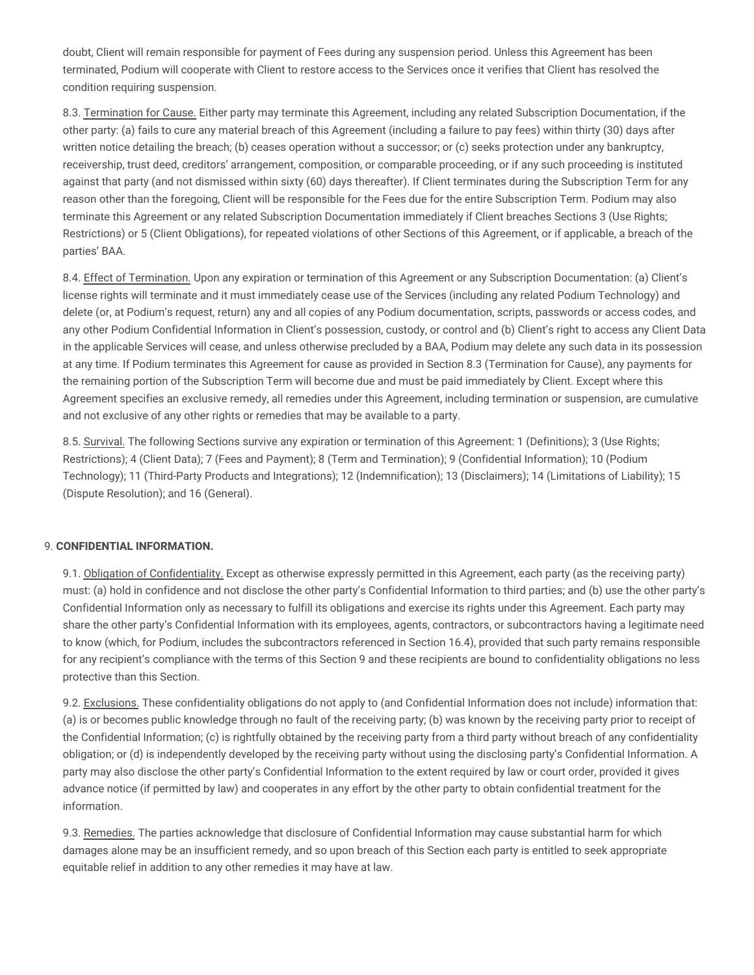doubt, Client will remain responsible for payment of Fees during any suspension period. Unless this Agreement has been terminated, Podium will cooperate with Client to restore access to the Services once it verifies that Client has resolved the condition requiring suspension.

8.3. Termination for Cause. Either party may terminate this Agreement, including any related Subscription Documentation, if the other party: (a) fails to cure any material breach of this Agreement (including a failure to pay fees) within thirty (30) days after written notice detailing the breach; (b) ceases operation without a successor; or (c) seeks protection under any bankruptcy, receivership, trust deed, creditors' arrangement, composition, or comparable proceeding, or if any such proceeding is instituted against that party (and not dismissed within sixty (60) days thereafter). If Client terminates during the Subscription Term for any reason other than the foregoing, Client will be responsible for the Fees due for the entire Subscription Term. Podium may also terminate this Agreement or any related Subscription Documentation immediately if Client breaches Sections 3 (Use Rights; Restrictions) or 5 (Client Obligations), for repeated violations of other Sections of this Agreement, or if applicable, a breach of the parties' BAA.

8.4. Effect of Termination. Upon any expiration or termination of this Agreement or any Subscription Documentation: (a) Client's license rights will terminate and it must immediately cease use of the Services (including any related Podium Technology) and delete (or, at Podium's request, return) any and all copies of any Podium documentation, scripts, passwords or access codes, and any other Podium Confidential Information in Client's possession, custody, or control and (b) Client's right to access any Client Data in the applicable Services will cease, and unless otherwise precluded by a BAA, Podium may delete any such data in its possession at any time. If Podium terminates this Agreement for cause as provided in Section 8.3 (Termination for Cause), any payments for the remaining portion of the Subscription Term will become due and must be paid immediately by Client. Except where this Agreement specifies an exclusive remedy, all remedies under this Agreement, including termination or suspension, are cumulative and not exclusive of any other rights or remedies that may be available to a party.

8.5. Survival. The following Sections survive any expiration or termination of this Agreement: 1 (Definitions); 3 (Use Rights; Restrictions); 4 (Client Data); 7 (Fees and Payment); 8 (Term and Termination); 9 (Confidential Information); 10 (Podium Technology); 11 (Third-Party Products and Integrations); 12 (Indemnification); 13 (Disclaimers); 14 (Limitations of Liability); 15 (Dispute Resolution); and 16 (General).

# 9. **CONFIDENTIAL INFORMATION.**

9.1. Obligation of Confidentiality. Except as otherwise expressly permitted in this Agreement, each party (as the receiving party) must: (a) hold in confidence and not disclose the other party's Confidential Information to third parties; and (b) use the other party's Confidential Information only as necessary to fulfill its obligations and exercise its rights under this Agreement. Each party may share the other party's Confidential Information with its employees, agents, contractors, or subcontractors having a legitimate need to know (which, for Podium, includes the subcontractors referenced in Section 16.4), provided that such party remains responsible for any recipient's compliance with the terms of this Section 9 and these recipients are bound to confidentiality obligations no less protective than this Section.

9.2. Exclusions. These confidentiality obligations do not apply to (and Confidential Information does not include) information that: (a) is or becomes public knowledge through no fault of the receiving party; (b) was known by the receiving party prior to receipt of the Confidential Information; (c) is rightfully obtained by the receiving party from a third party without breach of any confidentiality obligation; or (d) is independently developed by the receiving party without using the disclosing party's Confidential Information. A party may also disclose the other party's Confidential Information to the extent required by law or court order, provided it gives advance notice (if permitted by law) and cooperates in any effort by the other party to obtain confidential treatment for the information.

9.3. Remedies. The parties acknowledge that disclosure of Confidential Information may cause substantial harm for which damages alone may be an insufficient remedy, and so upon breach of this Section each party is entitled to seek appropriate equitable relief in addition to any other remedies it may have at law.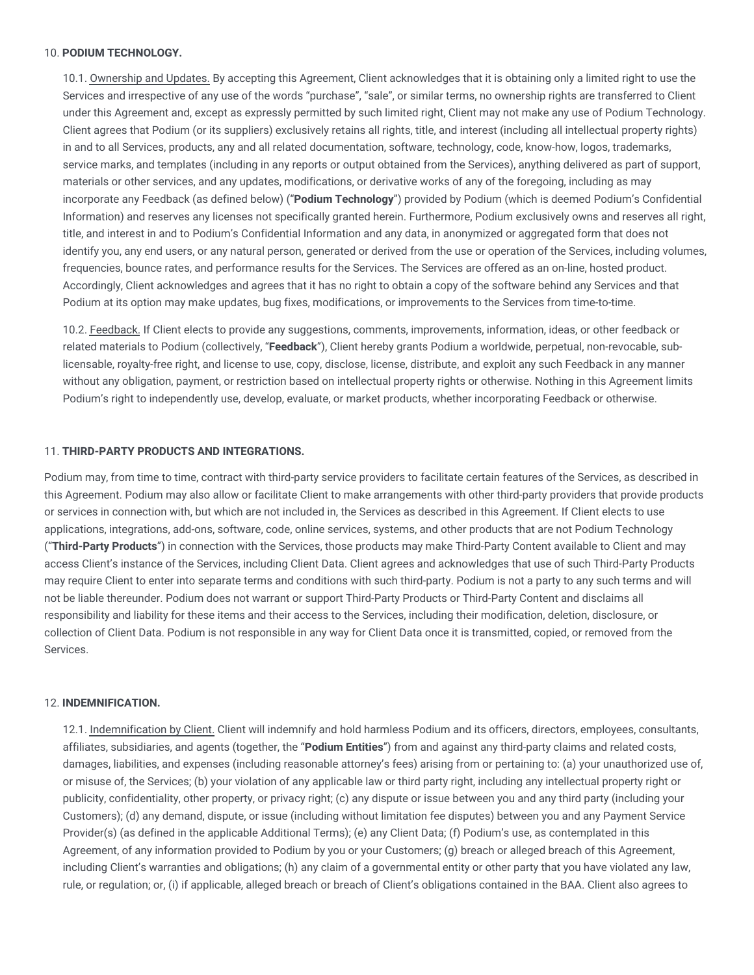#### 10. **PODIUM TECHNOLOGY.**

10.1. Ownership and Updates. By accepting this Agreement, Client acknowledges that it is obtaining only a limited right to use the Services and irrespective of any use of the words "purchase", "sale", or similar terms, no ownership rights are transferred to Client under this Agreement and, except as expressly permitted by such limited right, Client may not make any use of Podium Technology. Client agrees that Podium (or its suppliers) exclusively retains all rights, title, and interest (including all intellectual property rights) in and to all Services, products, any and all related documentation, software, technology, code, know-how, logos, trademarks, service marks, and templates (including in any reports or output obtained from the Services), anything delivered as part of support, materials or other services, and any updates, modifications, or derivative works of any of the foregoing, including as may incorporate any Feedback (as defined below) ("**Podium Technology**") provided by Podium (which is deemed Podium's Confidential Information) and reserves any licenses not specifically granted herein. Furthermore, Podium exclusively owns and reserves all right, title, and interest in and to Podium's Confidential Information and any data, in anonymized or aggregated form that does not identify you, any end users, or any natural person, generated or derived from the use or operation of the Services, including volumes, frequencies, bounce rates, and performance results for the Services. The Services are offered as an on-line, hosted product. Accordingly, Client acknowledges and agrees that it has no right to obtain a copy of the software behind any Services and that Podium at its option may make updates, bug fixes, modifications, or improvements to the Services from time-to-time.

10.2. Feedback. If Client elects to provide any suggestions, comments, improvements, information, ideas, or other feedback or related materials to Podium (collectively, "**Feedback**"), Client hereby grants Podium a worldwide, perpetual, non-revocable, sublicensable, royalty-free right, and license to use, copy, disclose, license, distribute, and exploit any such Feedback in any manner without any obligation, payment, or restriction based on intellectual property rights or otherwise. Nothing in this Agreement limits Podium's right to independently use, develop, evaluate, or market products, whether incorporating Feedback or otherwise.

#### 11. **THIRD-PARTY PRODUCTS AND INTEGRATIONS.**

Podium may, from time to time, contract with third-party service providers to facilitate certain features of the Services, as described in this Agreement. Podium may also allow or facilitate Client to make arrangements with other third-party providers that provide products or services in connection with, but which are not included in, the Services as described in this Agreement. If Client elects to use applications, integrations, add-ons, software, code, online services, systems, and other products that are not Podium Technology ("**Third-Party Products**") in connection with the Services, those products may make Third-Party Content available to Client and may access Client's instance of the Services, including Client Data. Client agrees and acknowledges that use of such Third-Party Products may require Client to enter into separate terms and conditions with such third-party. Podium is not a party to any such terms and will not be liable thereunder. Podium does not warrant or support Third-Party Products or Third-Party Content and disclaims all responsibility and liability for these items and their access to the Services, including their modification, deletion, disclosure, or collection of Client Data. Podium is not responsible in any way for Client Data once it is transmitted, copied, or removed from the Services.

#### 12. **INDEMNIFICATION.**

12.1. Indemnification by Client. Client will indemnify and hold harmless Podium and its officers, directors, employees, consultants, affiliates, subsidiaries, and agents (together, the "**Podium Entities**") from and against any third-party claims and related costs, damages, liabilities, and expenses (including reasonable attorney's fees) arising from or pertaining to: (a) your unauthorized use of, or misuse of, the Services; (b) your violation of any applicable law or third party right, including any intellectual property right or publicity, confidentiality, other property, or privacy right; (c) any dispute or issue between you and any third party (including your Customers); (d) any demand, dispute, or issue (including without limitation fee disputes) between you and any Payment Service Provider(s) (as defined in the applicable Additional Terms); (e) any Client Data; (f) Podium's use, as contemplated in this Agreement, of any information provided to Podium by you or your Customers; (g) breach or alleged breach of this Agreement, including Client's warranties and obligations; (h) any claim of a governmental entity or other party that you have violated any law, rule, or regulation; or, (i) if applicable, alleged breach or breach of Client's obligations contained in the BAA. Client also agrees to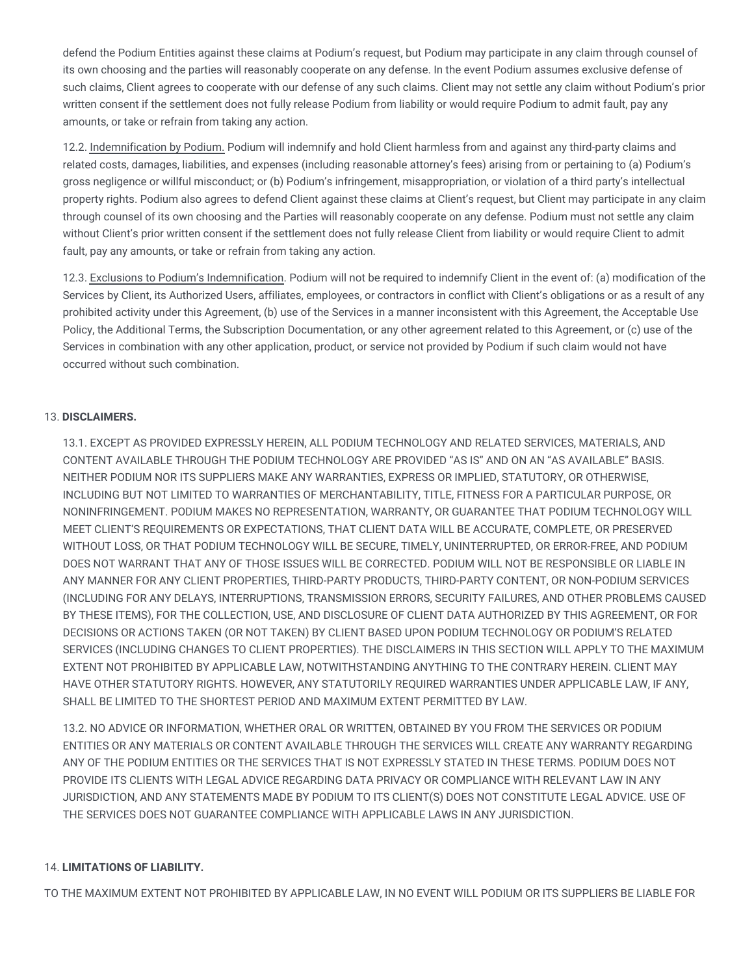defend the Podium Entities against these claims at Podium's request, but Podium may participate in any claim through counsel of its own choosing and the parties will reasonably cooperate on any defense. In the event Podium assumes exclusive defense of such claims, Client agrees to cooperate with our defense of any such claims. Client may not settle any claim without Podium's prior written consent if the settlement does not fully release Podium from liability or would require Podium to admit fault, pay any amounts, or take or refrain from taking any action.

12.2. Indemnification by Podium. Podium will indemnify and hold Client harmless from and against any third-party claims and related costs, damages, liabilities, and expenses (including reasonable attorney's fees) arising from or pertaining to (a) Podium's gross negligence or willful misconduct; or (b) Podium's infringement, misappropriation, or violation of a third party's intellectual property rights. Podium also agrees to defend Client against these claims at Client's request, but Client may participate in any claim through counsel of its own choosing and the Parties will reasonably cooperate on any defense. Podium must not settle any claim without Client's prior written consent if the settlement does not fully release Client from liability or would require Client to admit fault, pay any amounts, or take or refrain from taking any action.

12.3. Exclusions to Podium's Indemnification. Podium will not be required to indemnify Client in the event of: (a) modification of the Services by Client, its Authorized Users, affiliates, employees, or contractors in conflict with Client's obligations or as a result of any prohibited activity under this Agreement, (b) use of the Services in a manner inconsistent with this Agreement, the Acceptable Use Policy, the Additional Terms, the Subscription Documentation, or any other agreement related to this Agreement, or (c) use of the Services in combination with any other application, product, or service not provided by Podium if such claim would not have occurred without such combination.

# 13. **DISCLAIMERS.**

13.1. EXCEPT AS PROVIDED EXPRESSLY HEREIN, ALL PODIUM TECHNOLOGY AND RELATED SERVICES, MATERIALS, AND CONTENT AVAILABLE THROUGH THE PODIUM TECHNOLOGY ARE PROVIDED "AS IS" AND ON AN "AS AVAILABLE" BASIS. NEITHER PODIUM NOR ITS SUPPLIERS MAKE ANY WARRANTIES, EXPRESS OR IMPLIED, STATUTORY, OR OTHERWISE, INCLUDING BUT NOT LIMITED TO WARRANTIES OF MERCHANTABILITY, TITLE, FITNESS FOR A PARTICULAR PURPOSE, OR NONINFRINGEMENT. PODIUM MAKES NO REPRESENTATION, WARRANTY, OR GUARANTEE THAT PODIUM TECHNOLOGY WILL MEET CLIENT'S REQUIREMENTS OR EXPECTATIONS, THAT CLIENT DATA WILL BE ACCURATE, COMPLETE, OR PRESERVED WITHOUT LOSS, OR THAT PODIUM TECHNOLOGY WILL BE SECURE, TIMELY, UNINTERRUPTED, OR ERROR-FREE, AND PODIUM DOES NOT WARRANT THAT ANY OF THOSE ISSUES WILL BE CORRECTED. PODIUM WILL NOT BE RESPONSIBLE OR LIABLE IN ANY MANNER FOR ANY CLIENT PROPERTIES, THIRD-PARTY PRODUCTS, THIRD-PARTY CONTENT, OR NON-PODIUM SERVICES (INCLUDING FOR ANY DELAYS, INTERRUPTIONS, TRANSMISSION ERRORS, SECURITY FAILURES, AND OTHER PROBLEMS CAUSED BY THESE ITEMS), FOR THE COLLECTION, USE, AND DISCLOSURE OF CLIENT DATA AUTHORIZED BY THIS AGREEMENT, OR FOR DECISIONS OR ACTIONS TAKEN (OR NOT TAKEN) BY CLIENT BASED UPON PODIUM TECHNOLOGY OR PODIUM'S RELATED SERVICES (INCLUDING CHANGES TO CLIENT PROPERTIES). THE DISCLAIMERS IN THIS SECTION WILL APPLY TO THE MAXIMUM EXTENT NOT PROHIBITED BY APPLICABLE LAW, NOTWITHSTANDING ANYTHING TO THE CONTRARY HEREIN. CLIENT MAY HAVE OTHER STATUTORY RIGHTS. HOWEVER, ANY STATUTORILY REQUIRED WARRANTIES UNDER APPLICABLE LAW, IF ANY, SHALL BE LIMITED TO THE SHORTEST PERIOD AND MAXIMUM EXTENT PERMITTED BY LAW.

13.2. NO ADVICE OR INFORMATION, WHETHER ORAL OR WRITTEN, OBTAINED BY YOU FROM THE SERVICES OR PODIUM ENTITIES OR ANY MATERIALS OR CONTENT AVAILABLE THROUGH THE SERVICES WILL CREATE ANY WARRANTY REGARDING ANY OF THE PODIUM ENTITIES OR THE SERVICES THAT IS NOT EXPRESSLY STATED IN THESE TERMS. PODIUM DOES NOT PROVIDE ITS CLIENTS WITH LEGAL ADVICE REGARDING DATA PRIVACY OR COMPLIANCE WITH RELEVANT LAW IN ANY JURISDICTION, AND ANY STATEMENTS MADE BY PODIUM TO ITS CLIENT(S) DOES NOT CONSTITUTE LEGAL ADVICE. USE OF THE SERVICES DOES NOT GUARANTEE COMPLIANCE WITH APPLICABLE LAWS IN ANY JURISDICTION.

# 14. **LIMITATIONS OF LIABILITY.**

TO THE MAXIMUM EXTENT NOT PROHIBITED BY APPLICABLE LAW, IN NO EVENT WILL PODIUM OR ITS SUPPLIERS BE LIABLE FOR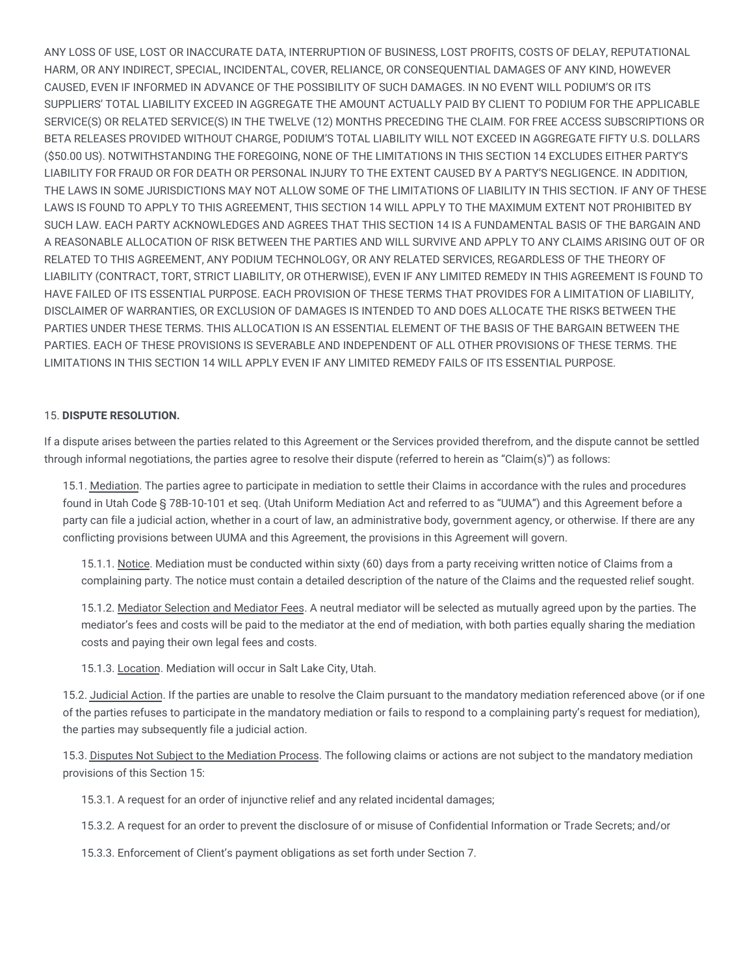ANY LOSS OF USE, LOST OR INACCURATE DATA, INTERRUPTION OF BUSINESS, LOST PROFITS, COSTS OF DELAY, REPUTATIONAL HARM, OR ANY INDIRECT, SPECIAL, INCIDENTAL, COVER, RELIANCE, OR CONSEQUENTIAL DAMAGES OF ANY KIND, HOWEVER CAUSED, EVEN IF INFORMED IN ADVANCE OF THE POSSIBILITY OF SUCH DAMAGES. IN NO EVENT WILL PODIUM'S OR ITS SUPPLIERS' TOTAL LIABILITY EXCEED IN AGGREGATE THE AMOUNT ACTUALLY PAID BY CLIENT TO PODIUM FOR THE APPLICABLE SERVICE(S) OR RELATED SERVICE(S) IN THE TWELVE (12) MONTHS PRECEDING THE CLAIM. FOR FREE ACCESS SUBSCRIPTIONS OR BETA RELEASES PROVIDED WITHOUT CHARGE, PODIUM'S TOTAL LIABILITY WILL NOT EXCEED IN AGGREGATE FIFTY U.S. DOLLARS (\$50.00 US). NOTWITHSTANDING THE FOREGOING, NONE OF THE LIMITATIONS IN THIS SECTION 14 EXCLUDES EITHER PARTY'S LIABILITY FOR FRAUD OR FOR DEATH OR PERSONAL INJURY TO THE EXTENT CAUSED BY A PARTY'S NEGLIGENCE. IN ADDITION, THE LAWS IN SOME JURISDICTIONS MAY NOT ALLOW SOME OF THE LIMITATIONS OF LIABILITY IN THIS SECTION. IF ANY OF THESE LAWS IS FOUND TO APPLY TO THIS AGREEMENT, THIS SECTION 14 WILL APPLY TO THE MAXIMUM EXTENT NOT PROHIBITED BY SUCH LAW. EACH PARTY ACKNOWLEDGES AND AGREES THAT THIS SECTION 14 IS A FUNDAMENTAL BASIS OF THE BARGAIN AND A REASONABLE ALLOCATION OF RISK BETWEEN THE PARTIES AND WILL SURVIVE AND APPLY TO ANY CLAIMS ARISING OUT OF OR RELATED TO THIS AGREEMENT, ANY PODIUM TECHNOLOGY, OR ANY RELATED SERVICES, REGARDLESS OF THE THEORY OF LIABILITY (CONTRACT, TORT, STRICT LIABILITY, OR OTHERWISE), EVEN IF ANY LIMITED REMEDY IN THIS AGREEMENT IS FOUND TO HAVE FAILED OF ITS ESSENTIAL PURPOSE. EACH PROVISION OF THESE TERMS THAT PROVIDES FOR A LIMITATION OF LIABILITY, DISCLAIMER OF WARRANTIES, OR EXCLUSION OF DAMAGES IS INTENDED TO AND DOES ALLOCATE THE RISKS BETWEEN THE PARTIES UNDER THESE TERMS. THIS ALLOCATION IS AN ESSENTIAL ELEMENT OF THE BASIS OF THE BARGAIN BETWEEN THE PARTIES. EACH OF THESE PROVISIONS IS SEVERABLE AND INDEPENDENT OF ALL OTHER PROVISIONS OF THESE TERMS. THE LIMITATIONS IN THIS SECTION 14 WILL APPLY EVEN IF ANY LIMITED REMEDY FAILS OF ITS ESSENTIAL PURPOSE.

## 15. **DISPUTE RESOLUTION.**

If a dispute arises between the parties related to this Agreement or the Services provided therefrom, and the dispute cannot be settled through informal negotiations, the parties agree to resolve their dispute (referred to herein as "Claim(s)") as follows:

15.1. Mediation. The parties agree to participate in mediation to settle their Claims in accordance with the rules and procedures found in Utah Code § 78B-10-101 et seq. (Utah Uniform Mediation Act and referred to as "UUMA") and this Agreement before a party can file a judicial action, whether in a court of law, an administrative body, government agency, or otherwise. If there are any conflicting provisions between UUMA and this Agreement, the provisions in this Agreement will govern.

15.1.1. Notice. Mediation must be conducted within sixty (60) days from a party receiving written notice of Claims from a complaining party. The notice must contain a detailed description of the nature of the Claims and the requested relief sought.

15.1.2. Mediator Selection and Mediator Fees. A neutral mediator will be selected as mutually agreed upon by the parties. The mediator's fees and costs will be paid to the mediator at the end of mediation, with both parties equally sharing the mediation costs and paying their own legal fees and costs.

15.1.3. Location. Mediation will occur in Salt Lake City, Utah.

15.2. Judicial Action. If the parties are unable to resolve the Claim pursuant to the mandatory mediation referenced above (or if one of the parties refuses to participate in the mandatory mediation or fails to respond to a complaining party's request for mediation), the parties may subsequently file a judicial action.

15.3. Disputes Not Subject to the Mediation Process. The following claims or actions are not subject to the mandatory mediation provisions of this Section 15:

15.3.1. A request for an order of injunctive relief and any related incidental damages;

15.3.2. A request for an order to prevent the disclosure of or misuse of Confidential Information or Trade Secrets; and/or

15.3.3. Enforcement of Client's payment obligations as set forth under Section 7.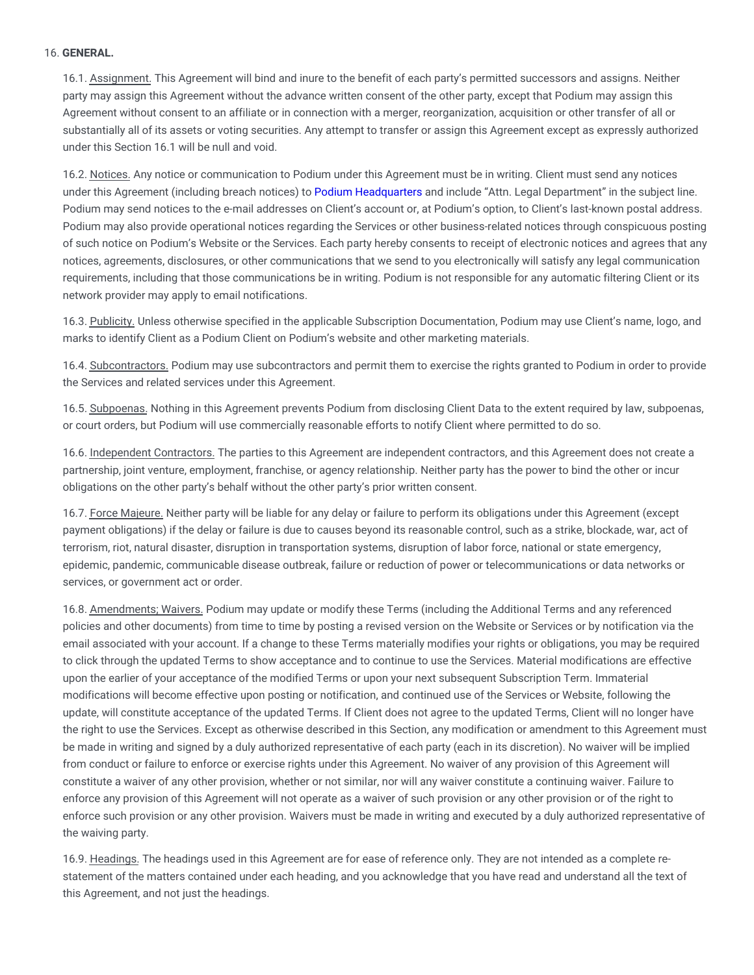## 16. **GENERAL.**

16.1. Assignment. This Agreement will bind and inure to the benefit of each party's permitted successors and assigns. Neither party may assign this Agreement without the advance written consent of the other party, except that Podium may assign this Agreement without consent to an affiliate or in connection with a merger, reorganization, acquisition or other transfer of all or substantially all of its assets or voting securities. Any attempt to transfer or assign this Agreement except as expressly authorized under this Section 16.1 will be null and void.

16.2. Notices. Any notice or communication to Podium under this Agreement must be in writing. Client must send any notices under this Agreement (including breach notices) to Podium [Headquarters](https://www.podium.com/contact-us/) and include "Attn. Legal Department" in the subject line. Podium may send notices to the e-mail addresses on Client's account or, at Podium's option, to Client's last-known postal address. Podium may also provide operational notices regarding the Services or other business-related notices through conspicuous posting of such notice on Podium's Website or the Services. Each party hereby consents to receipt of electronic notices and agrees that any notices, agreements, disclosures, or other communications that we send to you electronically will satisfy any legal communication requirements, including that those communications be in writing. Podium is not responsible for any automatic filtering Client or its network provider may apply to email notifications.

16.3. Publicity. Unless otherwise specified in the applicable Subscription Documentation, Podium may use Client's name, logo, and marks to identify Client as a Podium Client on Podium's website and other marketing materials.

16.4. Subcontractors. Podium may use subcontractors and permit them to exercise the rights granted to Podium in order to provide the Services and related services under this Agreement.

16.5. Subpoenas. Nothing in this Agreement prevents Podium from disclosing Client Data to the extent required by law, subpoenas, or court orders, but Podium will use commercially reasonable efforts to notify Client where permitted to do so.

16.6. Independent Contractors. The parties to this Agreement are independent contractors, and this Agreement does not create a partnership, joint venture, employment, franchise, or agency relationship. Neither party has the power to bind the other or incur obligations on the other party's behalf without the other party's prior written consent.

16.7. Force Majeure. Neither party will be liable for any delay or failure to perform its obligations under this Agreement (except payment obligations) if the delay or failure is due to causes beyond its reasonable control, such as a strike, blockade, war, act of terrorism, riot, natural disaster, disruption in transportation systems, disruption of labor force, national or state emergency, epidemic, pandemic, communicable disease outbreak, failure or reduction of power or telecommunications or data networks or services, or government act or order.

16.8. Amendments; Waivers. Podium may update or modify these Terms (including the Additional Terms and any referenced policies and other documents) from time to time by posting a revised version on the Website or Services or by notification via the email associated with your account. If a change to these Terms materially modifies your rights or obligations, you may be required to click through the updated Terms to show acceptance and to continue to use the Services. Material modifications are effective upon the earlier of your acceptance of the modified Terms or upon your next subsequent Subscription Term. Immaterial modifications will become effective upon posting or notification, and continued use of the Services or Website, following the update, will constitute acceptance of the updated Terms. If Client does not agree to the updated Terms, Client will no longer have the right to use the Services. Except as otherwise described in this Section, any modification or amendment to this Agreement must be made in writing and signed by a duly authorized representative of each party (each in its discretion). No waiver will be implied from conduct or failure to enforce or exercise rights under this Agreement. No waiver of any provision of this Agreement will constitute a waiver of any other provision, whether or not similar, nor will any waiver constitute a continuing waiver. Failure to enforce any provision of this Agreement will not operate as a waiver of such provision or any other provision or of the right to enforce such provision or any other provision. Waivers must be made in writing and executed by a duly authorized representative of the waiving party.

16.9. Headings. The headings used in this Agreement are for ease of reference only. They are not intended as a complete restatement of the matters contained under each heading, and you acknowledge that you have read and understand all the text of this Agreement, and not just the headings.